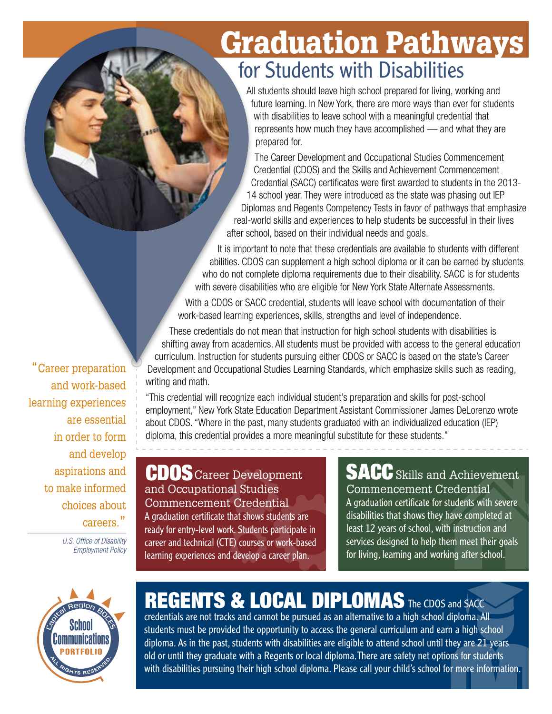## Graduation Pathways for Students with Disabilities

All students should leave high school prepared for living, working and future learning. In New York, there are more ways than ever for students with disabilities to leave school with a meaningful credential that represents how much they have accomplished — and what they are prepared for.

The Career Development and Occupational Studies Commencement Credential (CDOS) and the Skills and Achievement Commencement Credential (SACC) certificates were first awarded to students in the 2013- 14 school year. They were introduced as the state was phasing out IEP Diplomas and Regents Competency Tests in favor of pathways that emphasize real-world skills and experiences to help students be successful in their lives after school, based on their individual needs and goals.

It is important to note that these credentials are available to students with different abilities. CDOS can supplement a high school diploma or it can be earned by students who do not complete diploma requirements due to their disability. SACC is for students with severe disabilities who are eligible for New York State Alternate Assessments.

With a CDOS or SACC credential, students will leave school with documentation of their work-based learning experiences, skills, strengths and level of independence.

These credentials do not mean that instruction for high school students with disabilities is shifting away from academics. All students must be provided with access to the general education curriculum. Instruction for students pursuing either CDOS or SACC is based on the state's Career Development and Occupational Studies Learning Standards, which emphasize skills such as reading, writing and math.

"This credential will recognize each individual student's preparation and skills for post-school employment," New York State Education Department Assistant Commissioner James DeLorenzo wrote about CDOS. "Where in the past, many students graduated with an individualized education (IEP) diploma, this credential provides a more meaningful substitute for these students."

CDOS Career Development and Occupational Studies Commencement Credential A graduation certificate that shows students are ready for entry-level work. Students participate in career and technical (CTE) courses or work-based learning experiences and develop a career plan.

#### CDOS Career Development SACC Skills and Achievement Commencement Credential

A graduation certificate for students with severe disabilities that shows they have completed at least 12 years of school, with instruction and services designed to help them meet their goals for living, learning and working after school.



## REGENTS & LOCAL DIPLOMAS The CDOS and SACC

credentials are not tracks and cannot be pursued as an alternative to a high school diploma. All students must be provided the opportunity to access the general curriculum and earn a high school diploma. As in the past, students with disabilities are eligible to attend school until they are 21 years old or until they graduate with a Regents or local diploma. There are safety net options for students with disabilities pursuing their high school diploma. Please call your child's school for more information.

**Career preparation** and work-based learning experiences are essential in order to form and develop aspirations and to make informed choices about careers."

> *U.S. Office of Disability Employment Policy*